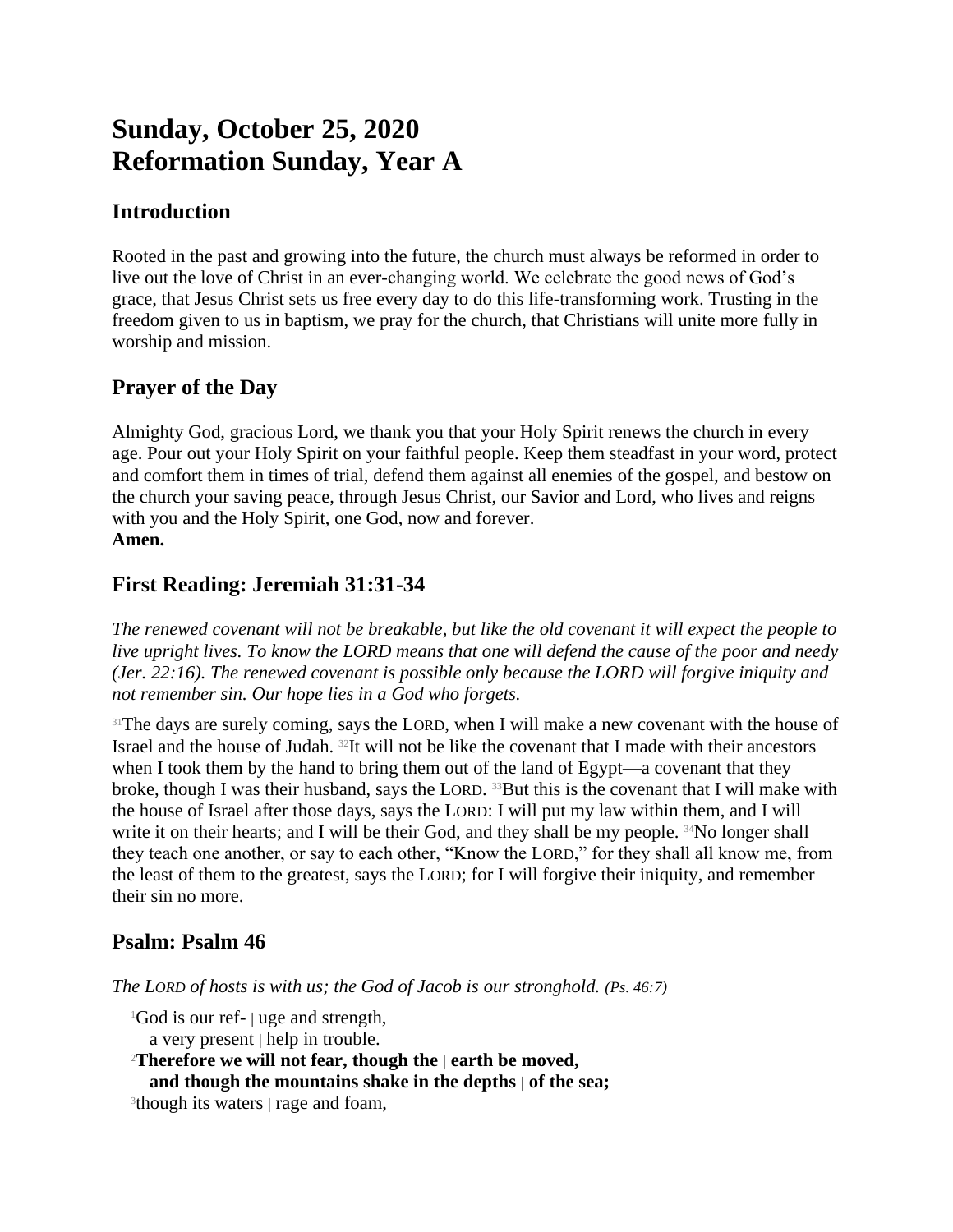# **Sunday, October 25, 2020 Reformation Sunday, Year A**

# **Introduction**

Rooted in the past and growing into the future, the church must always be reformed in order to live out the love of Christ in an ever-changing world. We celebrate the good news of God's grace, that Jesus Christ sets us free every day to do this life-transforming work. Trusting in the freedom given to us in baptism, we pray for the church, that Christians will unite more fully in worship and mission.

# **Prayer of the Day**

Almighty God, gracious Lord, we thank you that your Holy Spirit renews the church in every age. Pour out your Holy Spirit on your faithful people. Keep them steadfast in your word, protect and comfort them in times of trial, defend them against all enemies of the gospel, and bestow on the church your saving peace, through Jesus Christ, our Savior and Lord, who lives and reigns with you and the Holy Spirit, one God, now and forever. **Amen.**

# **First Reading: Jeremiah 31:31-34**

*The renewed covenant will not be breakable, but like the old covenant it will expect the people to live upright lives. To know the LORD means that one will defend the cause of the poor and needy (Jer. 22:16). The renewed covenant is possible only because the LORD will forgive iniquity and not remember sin. Our hope lies in a God who forgets.*

<sup>31</sup>The days are surely coming, says the LORD, when I will make a new covenant with the house of Israel and the house of Judah. 32It will not be like the covenant that I made with their ancestors when I took them by the hand to bring them out of the land of Egypt—a covenant that they broke, though I was their husband, says the LORD. <sup>33</sup>But this is the covenant that I will make with the house of Israel after those days, says the LORD: I will put my law within them, and I will write it on their hearts; and I will be their God, and they shall be my people. <sup>34</sup>No longer shall they teach one another, or say to each other, "Know the LORD," for they shall all know me, from the least of them to the greatest, says the LORD; for I will forgive their iniquity, and remember their sin no more.

## **Psalm: Psalm 46**

*The LORD of hosts is with us; the God of Jacob is our stronghold. (Ps. 46:7)*

<sup>1</sup>God is our ref- | uge and strength,

a very present | help in trouble.

<sup>2</sup>**Therefore we will not fear, though the | earth be moved,**

**and though the mountains shake in the depths | of the sea;**

<sup>3</sup>though its waters | rage and foam,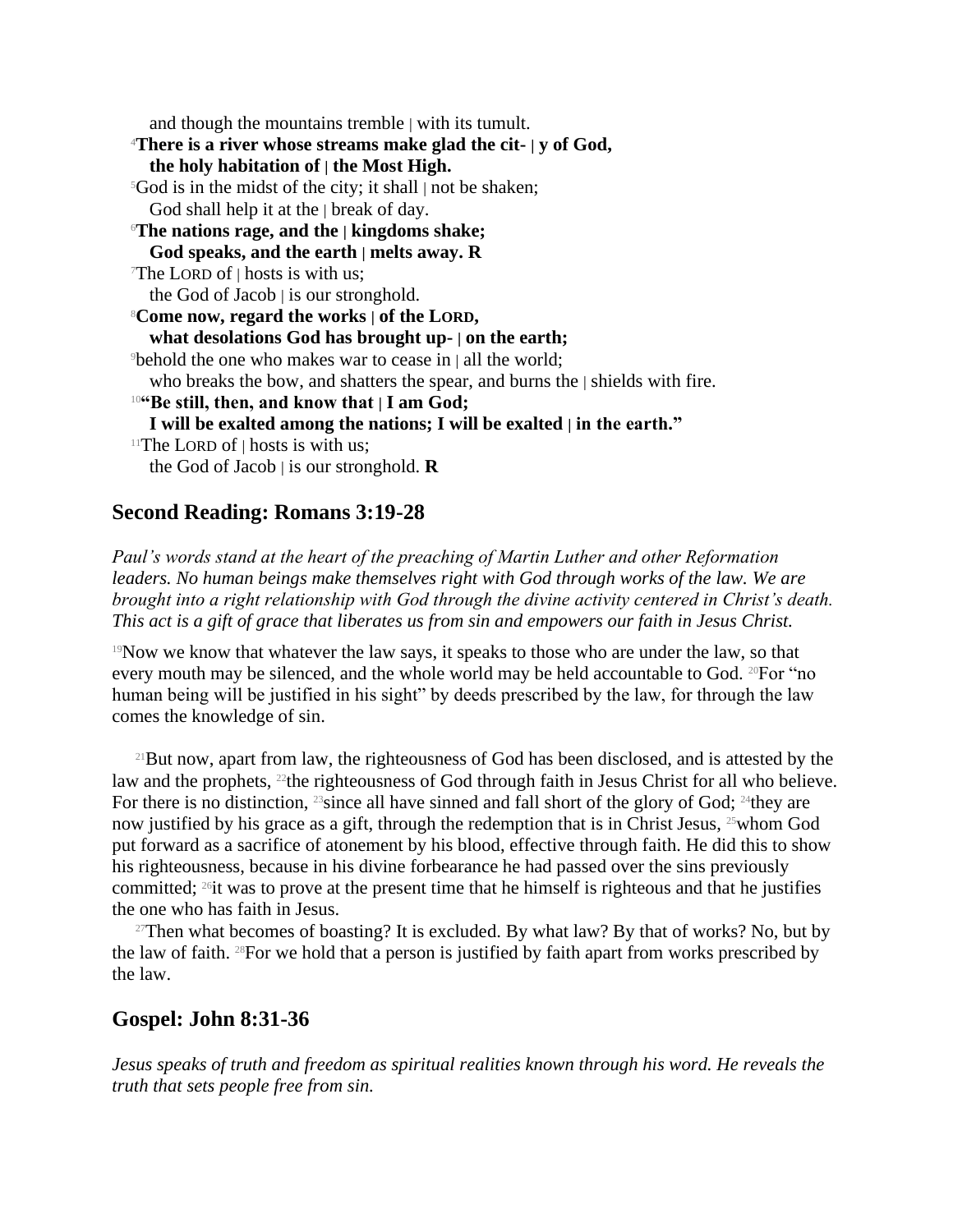and though the mountains tremble | with its tumult. <sup>4</sup>**There is a river whose streams make glad the cit- | y of God, the holy habitation of | the Most High.**  $5God$  is in the midst of the city; it shall | not be shaken; God shall help it at the | break of day. <sup>6</sup>**The nations rage, and the | kingdoms shake; God speaks, and the earth | melts away. R** The LORD of  $\vert$  hosts is with us; the God of Jacob  $\vert$  is our stronghold. <sup>8</sup>**Come now, regard the works | of the LORD, what desolations God has brought up- | on the earth;** <sup>9</sup>behold the one who makes war to cease in | all the world; who breaks the bow, and shatters the spear, and burns the | shields with fire. <sup>10</sup>**"Be still, then, and know that | I am God; I will be exalted among the nations; I will be exalted | in the earth."** <sup>11</sup>The LORD of  $\vert$  hosts is with us; the God of Jacob | is our stronghold. **R**

## **Second Reading: Romans 3:19-28**

*Paul's words stand at the heart of the preaching of Martin Luther and other Reformation leaders. No human beings make themselves right with God through works of the law. We are brought into a right relationship with God through the divine activity centered in Christ's death. This act is a gift of grace that liberates us from sin and empowers our faith in Jesus Christ.*

<sup>19</sup>Now we know that whatever the law says, it speaks to those who are under the law, so that every mouth may be silenced, and the whole world may be held accountable to God. 20For "no human being will be justified in his sight" by deeds prescribed by the law, for through the law comes the knowledge of sin.

<sup>21</sup>But now, apart from law, the righteousness of God has been disclosed, and is attested by the law and the prophets, <sup>22</sup>the righteousness of God through faith in Jesus Christ for all who believe. For there is no distinction,  $^{23}$ since all have sinned and fall short of the glory of God;  $^{24}$ they are now justified by his grace as a gift, through the redemption that is in Christ Jesus,  $25$  whom God put forward as a sacrifice of atonement by his blood, effective through faith. He did this to show his righteousness, because in his divine forbearance he had passed over the sins previously committed; 26it was to prove at the present time that he himself is righteous and that he justifies the one who has faith in Jesus.

<sup>27</sup>Then what becomes of boasting? It is excluded. By what law? By that of works? No, but by the law of faith. 28For we hold that a person is justified by faith apart from works prescribed by the law.

## **Gospel: John 8:31-36**

*Jesus speaks of truth and freedom as spiritual realities known through his word. He reveals the truth that sets people free from sin.*